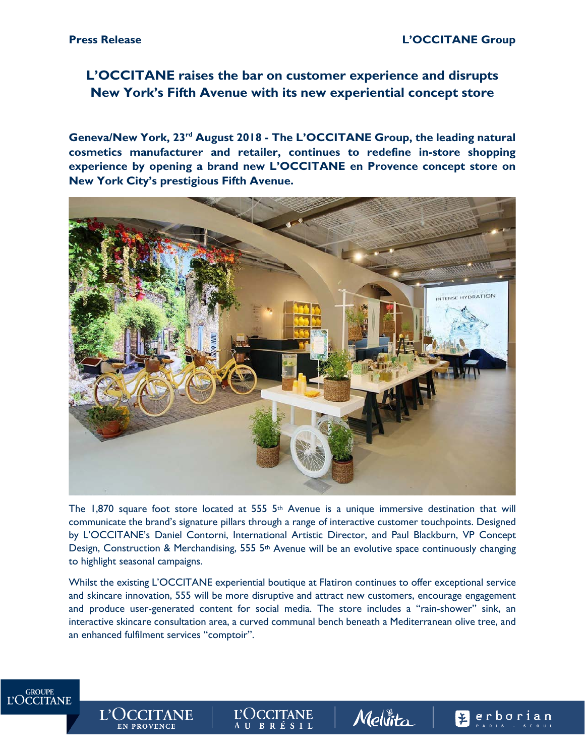# **L'OCCITANE raises the bar on customer experience and disrupts New York's Fifth Avenue with its new experiential concept store**

**Geneva/New York, 23rd August 2018 - The L'OCCITANE Group, the leading natural cosmetics manufacturer and retailer, continues to redefine in-store shopping experience by opening a brand new L'OCCITANE en Provence concept store on New York City's prestigious Fifth Avenue.**



The 1,870 square foot store located at 555 5<sup>th</sup> Avenue is a unique immersive destination that will communicate the brand's signature pillars through a range of interactive customer touchpoints. Designed by L'OCCITANE's Daniel Contorni, International Artistic Director, and Paul Blackburn, VP Concept Design, Construction & Merchandising, 555 5<sup>th</sup> Avenue will be an evolutive space continuously changing to highlight seasonal campaigns.

Whilst the existing L'OCCITANE experiential boutique at Flatiron continues to offer exceptional service and skincare innovation, 555 will be more disruptive and attract new customers, encourage engagement and produce user-generated content for social media. The store includes a "rain-shower" sink, an interactive skincare consultation area, a curved communal bench beneath a Mediterranean olive tree, and an enhanced fulfilment services "comptoir".

> L'OCCITANE AU BRÉSIL

Mellita

**E**erborian



L'OCCITANE

**EN PROVENCE**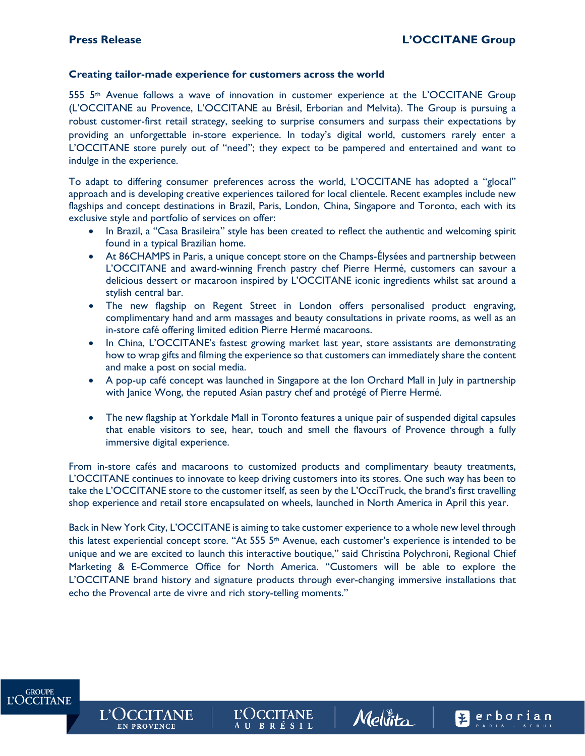**GROUPE L'OCCITANE** 

**L'OCCITANE** 

**EN PROVENCE** 

Perborian

#### **Creating tailor-made experience for customers across the world**

555 5th Avenue follows a wave of innovation in customer experience at the L'OCCITANE Group (L'OCCITANE au Provence, L'OCCITANE au Brésil, Erborian and Melvita). The Group is pursuing a robust customer-first retail strategy, seeking to surprise consumers and surpass their expectations by providing an unforgettable in-store experience. In today's digital world, customers rarely enter a L'OCCITANE store purely out of "need"; they expect to be pampered and entertained and want to indulge in the experience.

To adapt to differing consumer preferences across the world, L'OCCITANE has adopted a "glocal" approach and is developing creative experiences tailored for local clientele. Recent examples include new flagships and concept destinations in Brazil, Paris, London, China, Singapore and Toronto, each with its exclusive style and portfolio of services on offer:

- In Brazil, a "Casa Brasileira" style has been created to reflect the authentic and welcoming spirit found in a typical Brazilian home.
- At 86CHAMPS in Paris, a unique concept store on the Champs-Élysées and partnership between L'OCCITANE and award-winning French pastry chef Pierre Hermé, customers can savour a delicious dessert or macaroon inspired by L'OCCITANE iconic ingredients whilst sat around a stylish central bar.
- The new flagship on Regent Street in London offers personalised product engraving, complimentary hand and arm massages and beauty consultations in private rooms, as well as an in-store café offering limited edition Pierre Hermé macaroons.
- In China, L'OCCITANE's fastest growing market last year, store assistants are demonstrating how to wrap gifts and filming the experience so that customers can immediately share the content and make a post on social media.
- A pop-up café concept was launched in Singapore at the Ion Orchard Mall in July in partnership with Janice Wong, the reputed Asian pastry chef and protégé of Pierre Hermé.
- The new flagship at Yorkdale Mall in Toronto features a unique pair of suspended digital capsules that enable visitors to see, hear, touch and smell the flavours of Provence through a fully immersive digital experience.

From in-store cafés and macaroons to customized products and complimentary beauty treatments, L'OCCITANE continues to innovate to keep driving customers into its stores. One such way has been to take the L'OCCITANE store to the customer itself, as seen by the L'OcciTruck, the brand's first travelling shop experience and retail store encapsulated on wheels, launched in North America in April this year.

Back in New York City, L'OCCITANE is aiming to take customer experience to a whole new level through this latest experiential concept store. "At 555 5th Avenue, each customer's experience is intended to be unique and we are excited to launch this interactive boutique," said Christina Polychroni, Regional Chief Marketing & E-Commerce Office for North America. "Customers will be able to explore the L'OCCITANE brand history and signature products through ever-changing immersive installations that echo the Provencal arte de vivre and rich story-telling moments."

**L'OCCITANE** 

AU BRÉSIL

Mellita